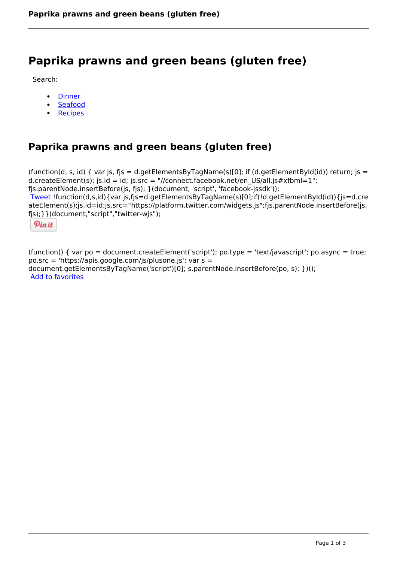# **Paprika prawns and green beans (gluten free)**

Search:

- **[Dinner](https://www.naturalhealthmag.com.au/nourish/dinner-ideas)**  $\bullet$
- [Seafood](https://www.naturalhealthmag.com.au/nourish/seafood)  $\bullet$
- **[Recipes](https://www.naturalhealthmag.com.au/nourish/recipes)**

## **Paprika prawns and green beans (gluten free)**

```
(function(d, s, id) { var js, fjs = d.getElementsByTagName(s)[0]; if (d.getElementById(id)) return; is =
d.createElement(s); js.id = id; js.src = "//connect.facebook.net/en_US/all.js#xfbml=1";
fjs.parentNode.insertBefore(js, fjs); }(document, 'script', 'facebook-jssdk')); 
Tweet !function(d,s,id){var js,fjs=d.getElementsByTagName(s)[0];if(!d.getElementById(id)){js=d.cre
ateElement(s);js.id=id;js.src="https://platform.twitter.com/widgets.js";fjs.parentNode.insertBefore(js,
fjs);}}(document,"script","twitter-wjs"); 
  Pin it
```
(function() { var po = document.createElement('script'); po.type = 'text/javascript'; po.async = true; po.src = 'https://apis.google.com/js/plusone.js'; var s = document.getElementsByTagName('script')[0]; s.parentNode.insertBefore(po, s); })(); Add to favorites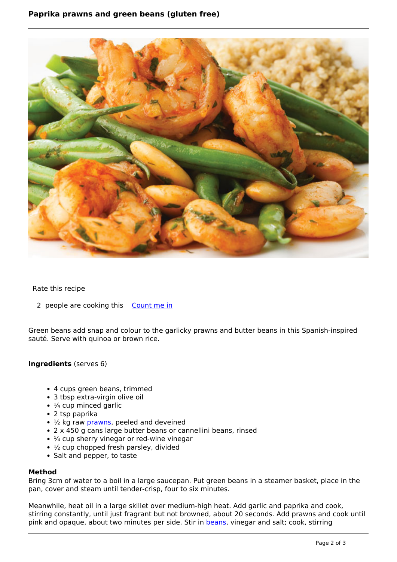### **Paprika prawns and green beans (gluten free)**



#### Rate this recipe

2 people are cooking this [Count me in](https://www.naturalhealthmag.com.au/flag/flag/favorites/631?destination=printpdf%2F631&token=0bb6dc294eaf8aa7edfcbc52934f43c8)

Green beans add snap and colour to the garlicky prawns and butter beans in this Spanish-inspired sauté. Serve with quinoa or brown rice.

#### **Ingredients** (serves 6)

- 4 cups green beans, trimmed
- 3 tbsp extra-virgin olive oil
- $\cdot$   $\frac{1}{4}$  cup minced garlic
- 2 tsp paprika
- $\cdot$   $\frac{1}{2}$  kg raw [prawns,](http://www.naturalhealthmag.com.au/nourish/prawns-green-bean-salad) peeled and deveined
- 2 x 450 g cans large butter beans or cannellini beans, rinsed
- $\cdot$   $\frac{1}{4}$  cup sherry vinegar or red-wine vinegar
- $\cdot$   $\frac{1}{2}$  cup chopped fresh parsley, divided
- Salt and pepper, to taste

#### **Method**

Bring 3cm of water to a boil in a large saucepan. Put green beans in a steamer basket, place in the pan, cover and steam until tender-crisp, four to six minutes.

Meanwhile, heat oil in a large skillet over medium-high heat. Add garlic and paprika and cook, stirring constantly, until just fragrant but not browned, about 20 seconds. Add prawns and cook until pink and opaque, about two minutes per side. Stir in [beans](http://www.naturalhealthmag.com.au/nourish/green-beans-blue-cheese-and-walnuts), vinegar and salt; cook, stirring